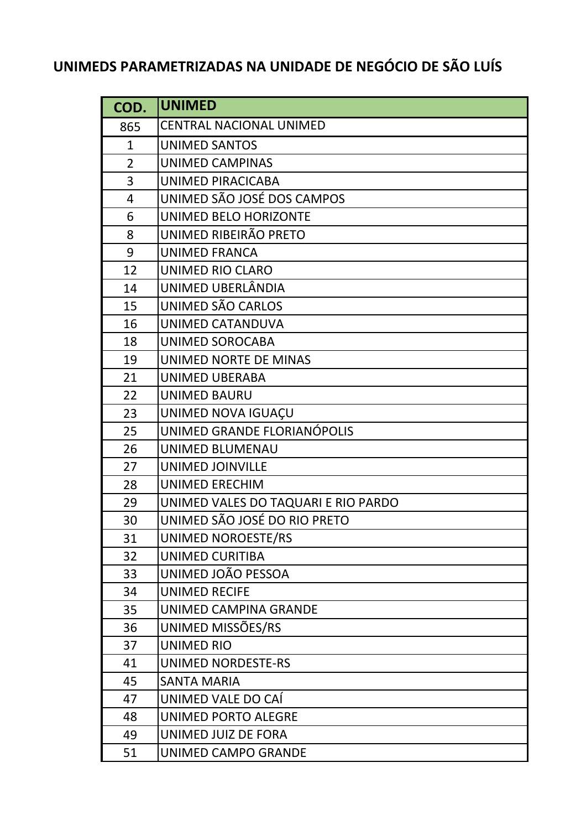## **UNIMEDS PARAMETRIZADAS NA UNIDADE DE NEGÓCIO DE SÃO LUÍS**

| COD.           | <b>UNIMED</b>                       |
|----------------|-------------------------------------|
| 865            | <b>CENTRAL NACIONAL UNIMED</b>      |
| $\mathbf{1}$   | <b>UNIMED SANTOS</b>                |
| $\overline{2}$ | UNIMED CAMPINAS                     |
| 3              | UNIMED PIRACICABA                   |
| $\overline{4}$ | UNIMED SÃO JOSÉ DOS CAMPOS          |
| 6              | UNIMED BELO HORIZONTE               |
| 8              | UNIMED RIBEIRÃO PRETO               |
| 9              | <b>UNIMED FRANCA</b>                |
| 12             | <b>UNIMED RIO CLARO</b>             |
| 14             | UNIMED UBERLÂNDIA                   |
| 15             | UNIMED SÃO CARLOS                   |
| 16             | UNIMED CATANDUVA                    |
| 18             | UNIMED SOROCABA                     |
| 19             | UNIMED NORTE DE MINAS               |
| 21             | <b>UNIMED UBERABA</b>               |
| 22             | <b>UNIMED BAURU</b>                 |
| 23             | UNIMED NOVA IGUAÇU                  |
| 25             | UNIMED GRANDE FLORIANÓPOLIS         |
| 26             | <b>UNIMED BLUMENAU</b>              |
| 27             | <b>UNIMED JOINVILLE</b>             |
| 28             | <b>UNIMED ERECHIM</b>               |
| 29             | UNIMED VALES DO TAQUARI E RIO PARDO |
| 30             | UNIMED SÃO JOSÉ DO RIO PRETO        |
| 31             | UNIMED NOROESTE/RS                  |
| 32             | <b>UNIMED CURITIBA</b>              |
| 33             | UNIMED JOÃO PESSOA                  |
| 34             | <b>UNIMED RECIFE</b>                |
| 35             | UNIMED CAMPINA GRANDE               |
| 36             | UNIMED MISSÕES/RS                   |
| 37             | <b>UNIMED RIO</b>                   |
| 41             | <b>UNIMED NORDESTE-RS</b>           |
| 45             | <b>SANTA MARIA</b>                  |
| 47             | UNIMED VALE DO CAÍ                  |
| 48             | UNIMED PORTO ALEGRE                 |
| 49             | UNIMED JUIZ DE FORA                 |
| 51             | UNIMED CAMPO GRANDE                 |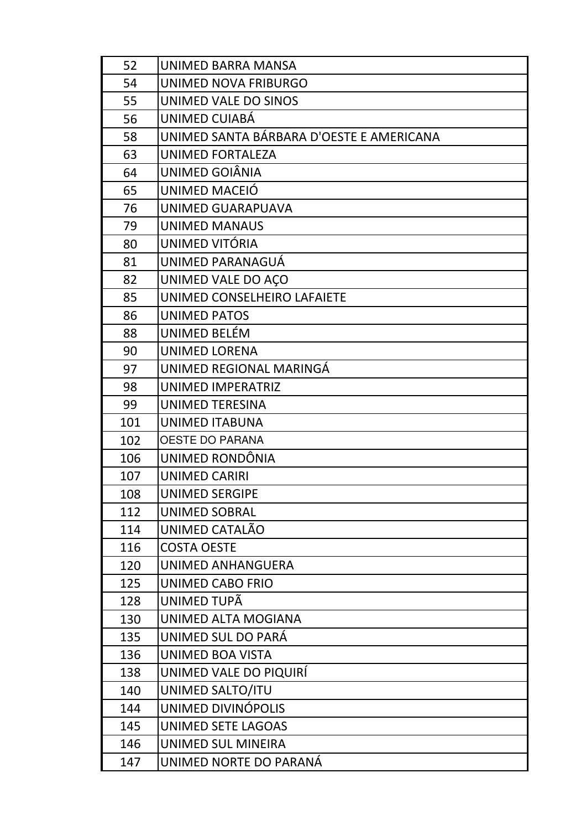| 52  | UNIMED BARRA MANSA                       |
|-----|------------------------------------------|
| 54  | UNIMED NOVA FRIBURGO                     |
| 55  | UNIMED VALE DO SINOS                     |
| 56  | UNIMED CUIABÁ                            |
| 58  | UNIMED SANTA BÁRBARA D'OESTE E AMERICANA |
| 63  | UNIMED FORTALEZA                         |
| 64  | UNIMED GOIÂNIA                           |
| 65  | UNIMED MACEIÓ                            |
| 76  | UNIMED GUARAPUAVA                        |
| 79  | <b>UNIMED MANAUS</b>                     |
| 80  | UNIMED VITÓRIA                           |
| 81  | UNIMED PARANAGUÁ                         |
| 82  | UNIMED VALE DO AÇO                       |
| 85  | UNIMED CONSELHEIRO LAFAIETE              |
| 86  | <b>UNIMED PATOS</b>                      |
| 88  | UNIMED BELÉM                             |
| 90  | <b>UNIMED LORENA</b>                     |
| 97  | UNIMED REGIONAL MARINGÁ                  |
| 98  | <b>UNIMED IMPERATRIZ</b>                 |
| 99  | <b>UNIMED TERESINA</b>                   |
| 101 | <b>UNIMED ITABUNA</b>                    |
| 102 | <b>OESTE DO PARANA</b>                   |
| 106 | UNIMED RONDÔNIA                          |
| 107 | <b>UNIMED CARIRI</b>                     |
| 108 | <b>UNIMED SERGIPE</b>                    |
| 112 | <b>UNIMED SOBRAL</b>                     |
| 114 | UNIMED CATALÃO                           |
| 116 | <b>COSTA OESTE</b>                       |
| 120 | UNIMED ANHANGUERA                        |
| 125 | <b>UNIMED CABO FRIO</b>                  |
| 128 | UNIMED TUPÃ                              |
| 130 | UNIMED ALTA MOGIANA                      |
| 135 | UNIMED SUL DO PARÁ                       |
| 136 | <b>UNIMED BOA VISTA</b>                  |
| 138 | UNIMED VALE DO PIQUIRÍ                   |
| 140 | UNIMED SALTO/ITU                         |
| 144 | UNIMED DIVINÓPOLIS                       |
| 145 | UNIMED SETE LAGOAS                       |
| 146 | UNIMED SUL MINEIRA                       |
| 147 | UNIMED NORTE DO PARANÁ                   |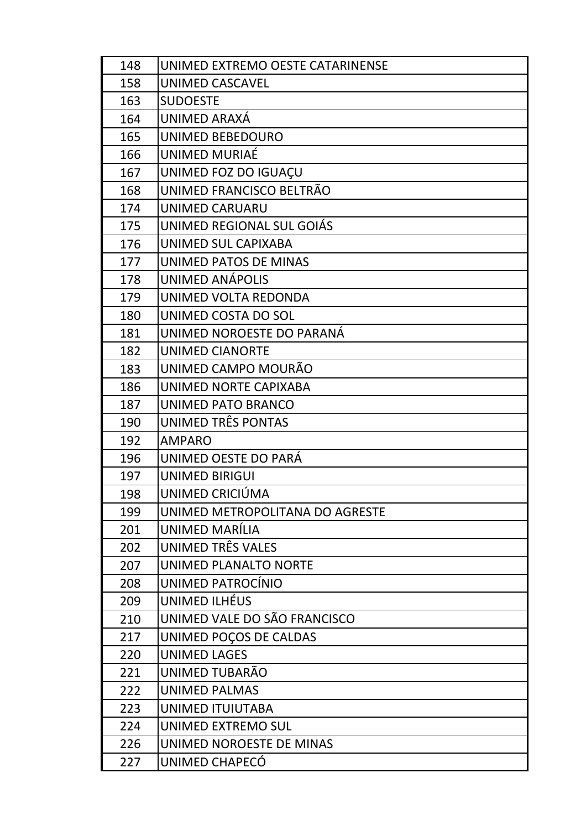| 148 | UNIMED EXTREMO OESTE CATARINENSE |
|-----|----------------------------------|
| 158 | <b>UNIMED CASCAVEL</b>           |
| 163 | <b>SUDOESTE</b>                  |
| 164 | UNIMED ARAXÁ                     |
| 165 | UNIMED BEBEDOURO                 |
| 166 | UNIMED MURIAÉ                    |
| 167 | UNIMED FOZ DO IGUAÇU             |
| 168 | UNIMED FRANCISCO BELTRÃO         |
| 174 | <b>UNIMED CARUARU</b>            |
| 175 | UNIMED REGIONAL SUL GOIÁS        |
| 176 | UNIMED SUL CAPIXABA              |
| 177 | UNIMED PATOS DE MINAS            |
| 178 | UNIMED ANÁPOLIS                  |
| 179 | UNIMED VOLTA REDONDA             |
| 180 | UNIMED COSTA DO SOL              |
| 181 | UNIMED NOROESTE DO PARANÁ        |
| 182 | <b>UNIMED CIANORTE</b>           |
| 183 | UNIMED CAMPO MOURÃO              |
| 186 | UNIMED NORTE CAPIXABA            |
| 187 | UNIMED PATO BRANCO               |
| 190 | UNIMED TRÊS PONTAS               |
| 192 | <b>AMPARO</b>                    |
| 196 | UNIMED OESTE DO PARÁ             |
| 197 | <b>UNIMED BIRIGUI</b>            |
| 198 | UNIMED CRICIÚMA                  |
| 199 | UNIMED METROPOLITANA DO AGRESTE  |
| 201 | UNIMED MARÍLIA                   |
| 202 | UNIMED TRÊS VALES                |
| 207 | UNIMED PLANALTO NORTE            |
| 208 | UNIMED PATROCÍNIO                |
| 209 | UNIMED ILHÉUS                    |
| 210 | UNIMED VALE DO SÃO FRANCISCO     |
| 217 | UNIMED POÇOS DE CALDAS           |
| 220 | <b>UNIMED LAGES</b>              |
| 221 | UNIMED TUBARÃO                   |
| 222 | <b>UNIMED PALMAS</b>             |
| 223 | UNIMED ITUIUTABA                 |
| 224 | UNIMED EXTREMO SUL               |
| 226 | UNIMED NOROESTE DE MINAS         |
| 227 | UNIMED CHAPECÓ                   |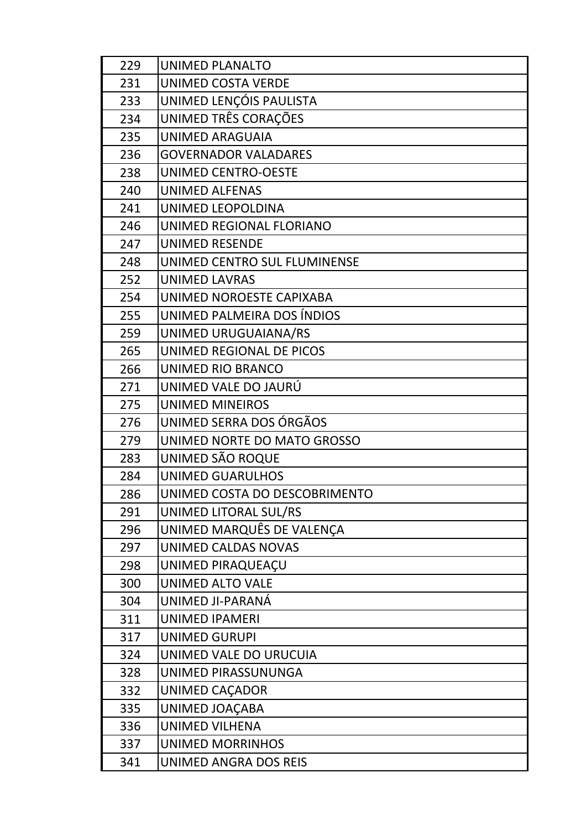| 229 | <b>UNIMED PLANALTO</b>        |
|-----|-------------------------------|
| 231 | <b>UNIMED COSTA VERDE</b>     |
| 233 | UNIMED LENÇÓIS PAULISTA       |
| 234 | UNIMED TRÊS CORAÇÕES          |
| 235 | <b>UNIMED ARAGUAIA</b>        |
| 236 | <b>GOVERNADOR VALADARES</b>   |
| 238 | <b>UNIMED CENTRO-OESTE</b>    |
| 240 | <b>UNIMED ALFENAS</b>         |
| 241 | UNIMED LEOPOLDINA             |
| 246 | UNIMED REGIONAL FLORIANO      |
| 247 | <b>UNIMED RESENDE</b>         |
| 248 | UNIMED CENTRO SUL FLUMINENSE  |
| 252 | <b>UNIMED LAVRAS</b>          |
| 254 | UNIMED NOROESTE CAPIXABA      |
| 255 | UNIMED PALMEIRA DOS ÍNDIOS    |
| 259 | UNIMED URUGUAIANA/RS          |
| 265 | UNIMED REGIONAL DE PICOS      |
| 266 | UNIMED RIO BRANCO             |
| 271 | UNIMED VALE DO JAURÚ          |
| 275 | <b>UNIMED MINEIROS</b>        |
| 276 | UNIMED SERRA DOS ÓRGÃOS       |
| 279 | UNIMED NORTE DO MATO GROSSO   |
| 283 | UNIMED SÃO ROQUE              |
| 284 | <b>UNIMED GUARULHOS</b>       |
| 286 | UNIMED COSTA DO DESCOBRIMENTO |
| 291 | UNIMED LITORAL SUL/RS         |
| 296 | UNIMED MARQUÊS DE VALENÇA     |
| 297 | UNIMED CALDAS NOVAS           |
| 298 | UNIMED PIRAQUEACU             |
| 300 | <b>UNIMED ALTO VALE</b>       |
| 304 | UNIMED JI-PARANÁ              |
| 311 | <b>UNIMED IPAMERI</b>         |
| 317 | <b>UNIMED GURUPI</b>          |
| 324 | UNIMED VALE DO URUCUIA        |
| 328 | UNIMED PIRASSUNUNGA           |
| 332 | UNIMED CAÇADOR                |
| 335 | UNIMED JOAÇABA                |
| 336 | <b>UNIMED VILHENA</b>         |
| 337 | <b>UNIMED MORRINHOS</b>       |
| 341 | UNIMED ANGRA DOS REIS         |